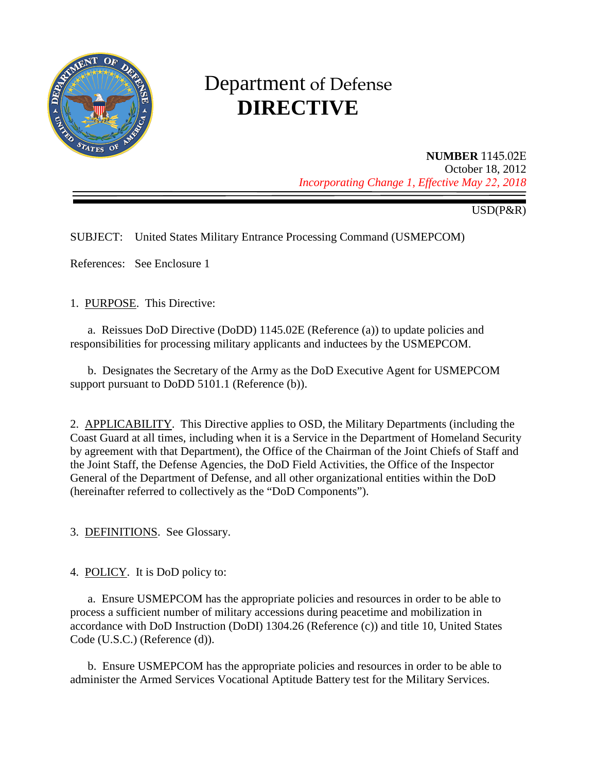

# Department of Defense **DIRECTIVE**

**NUMBER** 1145.02E October 18, 2012 *Incorporating Change 1, Effective May 22, 2018*

USD(P&R)

SUBJECT: United States Military Entrance Processing Command (USMEPCOM)

References: See Enclosure 1

1. PURPOSE. This Directive:

a. Reissues DoD Directive (DoDD) 1145.02E (Reference (a)) to update policies and responsibilities for processing military applicants and inductees by the USMEPCOM.

b. Designates the Secretary of the Army as the DoD Executive Agent for USMEPCOM support pursuant to DoDD 5101.1 (Reference (b)).

2. APPLICABILITY. This Directive applies to OSD, the Military Departments (including the Coast Guard at all times, including when it is a Service in the Department of Homeland Security by agreement with that Department), the Office of the Chairman of the Joint Chiefs of Staff and the Joint Staff, the Defense Agencies, the DoD Field Activities, the Office of the Inspector General of the Department of Defense, and all other organizational entities within the DoD (hereinafter referred to collectively as the "DoD Components").

3. DEFINITIONS. See Glossary.

4. POLICY. It is DoD policy to:

a. Ensure USMEPCOM has the appropriate policies and resources in order to be able to process a sufficient number of military accessions during peacetime and mobilization in accordance with DoD Instruction (DoDI) 1304.26 (Reference (c)) and title 10, United States Code (U.S.C.) (Reference (d)).

b. Ensure USMEPCOM has the appropriate policies and resources in order to be able to administer the Armed Services Vocational Aptitude Battery test for the Military Services.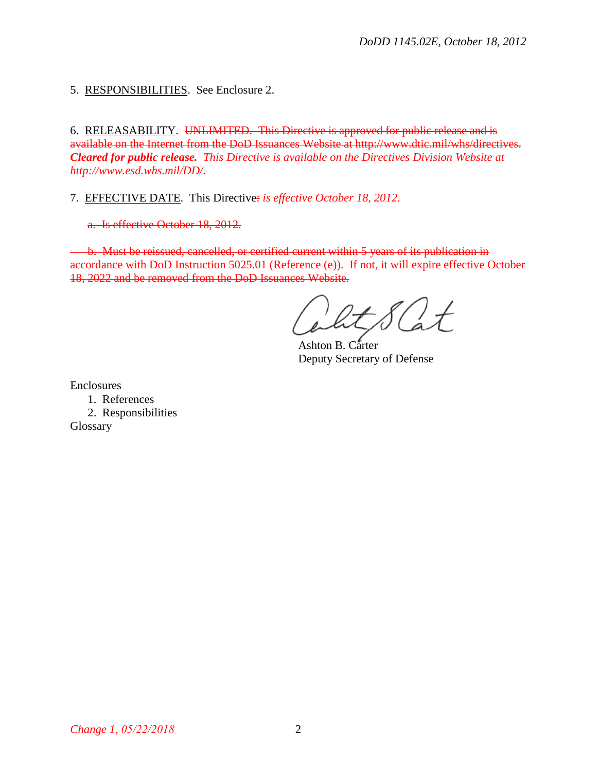5. RESPONSIBILITIES. See Enclosure 2.

6. RELEASABILITY. UNLIMITED. This Directive is approved for public release and is available on the Internet from the DoD Issuances Website at http://www.dtic.mil/whs/directives. *Cleared for public release. This Directive is available on the Directives Division Website at [http://www.esd.whs.mil/DD/.](http://www.esd.whs.mil/DD/)*

7. EFFECTIVE DATE. This Directive: *is effective October 18, 2012.*

a. Is effective October 18, 2012.

b. Must be reissued, cancelled, or certified current within 5 years of its publication in accordance with DoD Instruction 5025.01 (Reference (e)). If not, it will expire effective October 18, 2022 and be removed from the DoD Issuances Website.

Ashton B. Carter Deputy Secretary of Defense

Enclosures

1. References

2. Responsibilities

**Glossary**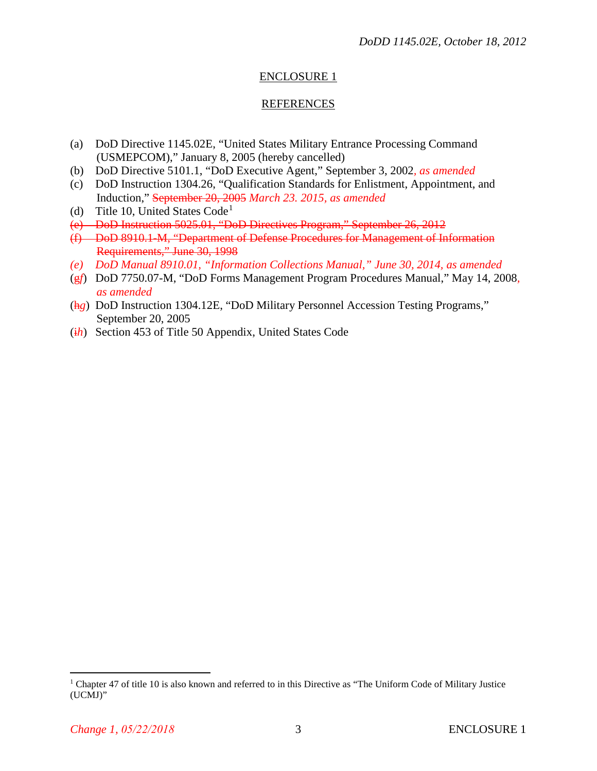### ENCLOSURE 1

#### REFERENCES

- (a) DoD Directive 1145.02E, "United States Military Entrance Processing Command (USMEPCOM)," January 8, 2005 (hereby cancelled)
- (b) DoD Directive 5101.1, "DoD Executive Agent," September 3, 2002*, as amended*
- (c) DoD Instruction 1304.26, "Qualification Standards for Enlistment, Appointment, and Induction," September 20, 2005 *March 23. 2015, as amended*
- (d) Title [1](#page-2-0)0, United States  $Code<sup>1</sup>$
- (e) DoD Instruction 5025.01, "DoD Directives Program," September 26, 2012
- (f) DoD 8910.1-M, "Department of Defense Procedures for Management of Information Requirements," June 30, 1998
- *(e) DoD Manual 8910.01, "Information Collections Manual," June 30, 2014, as amended*
- (g*f*) DoD 7750.07-M, "DoD Forms Management Program Procedures Manual," May 14, 2008*, as amended*
- (h*g*) DoD Instruction 1304.12E, "DoD Military Personnel Accession Testing Programs," September 20, 2005
- (i*h*) Section 453 of Title 50 Appendix, United States Code

<span id="page-2-0"></span><sup>&</sup>lt;sup>1</sup> Chapter 47 of title 10 is also known and referred to in this Directive as "The Uniform Code of Military Justice (UCMJ)"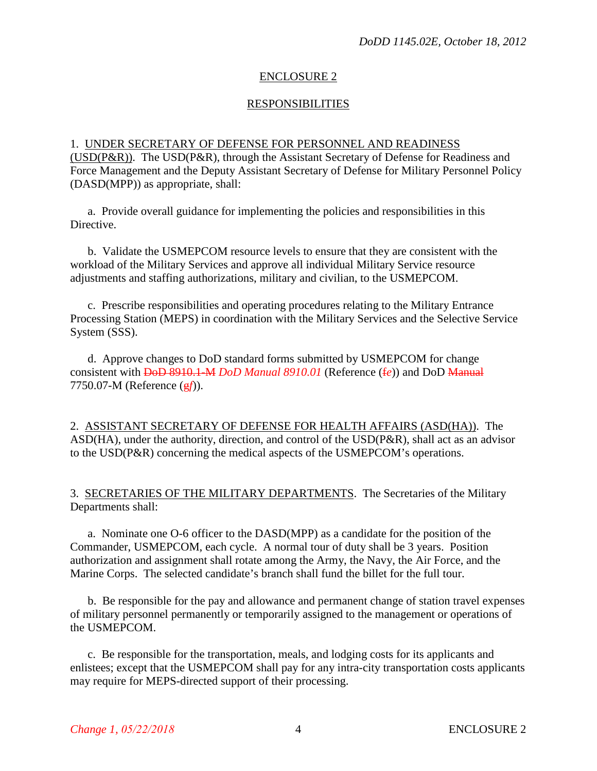#### ENCLOSURE 2

#### RESPONSIBILITIES

#### 1. UNDER SECRETARY OF DEFENSE FOR PERSONNEL AND READINESS

(USD(P&R)). The USD(P&R), through the Assistant Secretary of Defense for Readiness and Force Management and the Deputy Assistant Secretary of Defense for Military Personnel Policy (DASD(MPP)) as appropriate, shall:

a. Provide overall guidance for implementing the policies and responsibilities in this Directive.

b. Validate the USMEPCOM resource levels to ensure that they are consistent with the workload of the Military Services and approve all individual Military Service resource adjustments and staffing authorizations, military and civilian, to the USMEPCOM.

c. Prescribe responsibilities and operating procedures relating to the Military Entrance Processing Station (MEPS) in coordination with the Military Services and the Selective Service System (SSS).

d. Approve changes to DoD standard forms submitted by USMEPCOM for change consistent with DoD 8910.1-M *DoD Manual 8910.01* (Reference (f*e*)) and DoD Manual 7750.07-M (Reference (g*f*)).

2. ASSISTANT SECRETARY OF DEFENSE FOR HEALTH AFFAIRS (ASD(HA)). The ASD(HA), under the authority, direction, and control of the USD(P&R), shall act as an advisor to the USD(P&R) concerning the medical aspects of the USMEPCOM's operations.

3. SECRETARIES OF THE MILITARY DEPARTMENTS. The Secretaries of the Military Departments shall:

a. Nominate one O-6 officer to the DASD(MPP) as a candidate for the position of the Commander, USMEPCOM, each cycle. A normal tour of duty shall be 3 years. Position authorization and assignment shall rotate among the Army, the Navy, the Air Force, and the Marine Corps. The selected candidate's branch shall fund the billet for the full tour.

b. Be responsible for the pay and allowance and permanent change of station travel expenses of military personnel permanently or temporarily assigned to the management or operations of the USMEPCOM.

c. Be responsible for the transportation, meals, and lodging costs for its applicants and enlistees; except that the USMEPCOM shall pay for any intra-city transportation costs applicants may require for MEPS-directed support of their processing.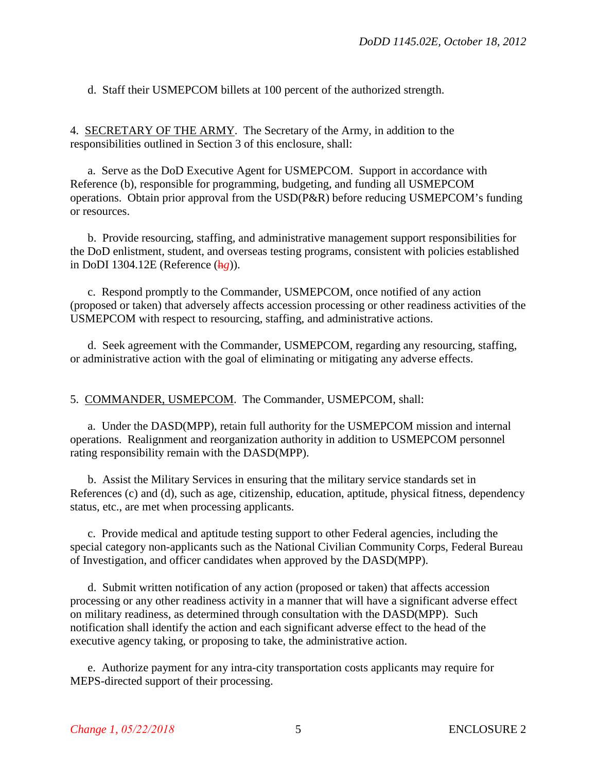d. Staff their USMEPCOM billets at 100 percent of the authorized strength.

4. SECRETARY OF THE ARMY. The Secretary of the Army, in addition to the responsibilities outlined in Section 3 of this enclosure, shall:

a. Serve as the DoD Executive Agent for USMEPCOM. Support in accordance with Reference (b), responsible for programming, budgeting, and funding all USMEPCOM operations. Obtain prior approval from the USD(P&R) before reducing USMEPCOM's funding or resources.

b. Provide resourcing, staffing, and administrative management support responsibilities for the DoD enlistment, student, and overseas testing programs, consistent with policies established in DoDI 1304.12E (Reference (h*g*)).

c. Respond promptly to the Commander, USMEPCOM, once notified of any action (proposed or taken) that adversely affects accession processing or other readiness activities of the USMEPCOM with respect to resourcing, staffing, and administrative actions.

d. Seek agreement with the Commander, USMEPCOM, regarding any resourcing, staffing, or administrative action with the goal of eliminating or mitigating any adverse effects.

5. COMMANDER, USMEPCOM. The Commander, USMEPCOM, shall:

a. Under the DASD(MPP), retain full authority for the USMEPCOM mission and internal operations. Realignment and reorganization authority in addition to USMEPCOM personnel rating responsibility remain with the DASD(MPP).

b. Assist the Military Services in ensuring that the military service standards set in References (c) and (d), such as age, citizenship, education, aptitude, physical fitness, dependency status, etc., are met when processing applicants.

c. Provide medical and aptitude testing support to other Federal agencies, including the special category non-applicants such as the National Civilian Community Corps, Federal Bureau of Investigation, and officer candidates when approved by the DASD(MPP).

d. Submit written notification of any action (proposed or taken) that affects accession processing or any other readiness activity in a manner that will have a significant adverse effect on military readiness, as determined through consultation with the DASD(MPP). Such notification shall identify the action and each significant adverse effect to the head of the executive agency taking, or proposing to take, the administrative action.

e. Authorize payment for any intra-city transportation costs applicants may require for MEPS-directed support of their processing.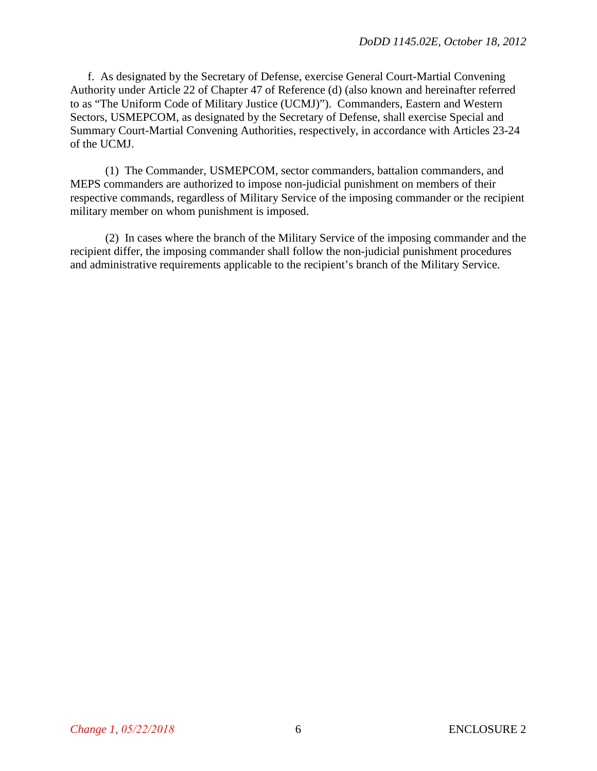f. As designated by the Secretary of Defense, exercise General Court-Martial Convening Authority under Article 22 of Chapter 47 of Reference (d) (also known and hereinafter referred to as "The Uniform Code of Military Justice (UCMJ)"). Commanders, Eastern and Western Sectors, USMEPCOM, as designated by the Secretary of Defense, shall exercise Special and Summary Court-Martial Convening Authorities, respectively, in accordance with Articles 23-24 of the UCMJ.

(1) The Commander, USMEPCOM, sector commanders, battalion commanders, and MEPS commanders are authorized to impose non-judicial punishment on members of their respective commands, regardless of Military Service of the imposing commander or the recipient military member on whom punishment is imposed.

(2) In cases where the branch of the Military Service of the imposing commander and the recipient differ, the imposing commander shall follow the non-judicial punishment procedures and administrative requirements applicable to the recipient's branch of the Military Service.